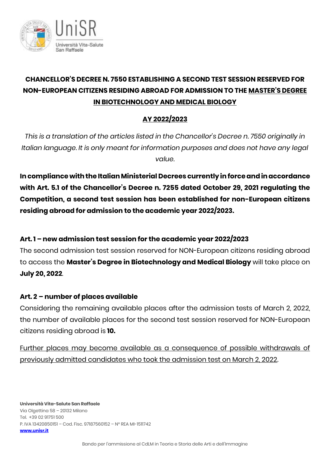

# **CHANCELLOR'S DECREE N. 7550 ESTABLISHING A SECOND TEST SESSION RESERVED FOR NON-EUROPEAN CITIZENS RESIDING ABROAD FOR ADMISSION TO THE MASTER'S DEGREE IN BIOTECHNOLOGY AND MEDICAL BIOLOGY**

## **AY 2022/2023**

*This is a translation of the articles listed in the Chancellor's Decree n. 7550 originally in Italian language. It is only meant for information purposes and does not have any legal value.*

**In compliance with the Italian Ministerial Decrees currently in forceand in accordance with Art. 5.1 of the Chancellor's Decree n. 7255 dated October 29, 2021 regulating the Competition, a second test session has been established for non-European citizens residing abroad for admission to the academic year 2022/2023.** 

### **Art. 1 – new admission test session for the academic year 2022/2023**

The second admission test session reserved for NON-European citizens residing abroad to access the **Master's Degree in Biotechnology and Medical Biology** will take place on **July 20, 2022**.

### **Art. 2 – number of places available**

Considering the remaining available places after the admission tests of March 2, 2022, the number of available places for the second test session reserved for NON-European citizens residing abroad is **10.**

Further places may become available as a consequence of possible withdrawals of previously admitted candidates who took the admission test on March 2, 2022.

**Università Vita-Salute San Raffaele** Via Olgettina 58 – 20132 Milano Tel. +39 02 91751 500 P. IVA 13420850151 – Cod. Fisc. 97187560152 – N° REA MI-1511742 **[www.unisr.it](http://www.unisr.it/)**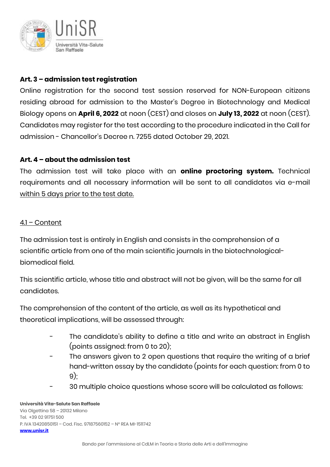

### **Art. 3 – admission test registration**

Online registration for the second test session reserved for NON-European citizens residing abroad for admission to the Master's Degree in Biotechnology and Medical Biology opens on **April 6, 2022** at noon (CEST) and closes on **July 13, 2022** at noon (CEST). Candidates may register for the test according to the procedure indicated in the Call for admission - Chancellor's Decree n. 7255 dated October 29, 2021.

#### **Art. 4 – about the admission test**

The admission test will take place with an **online proctoring system.** Technical requirements and all necessary information will be sent to all candidates via e-mail within 5 days prior to the test date.

#### 4.1 *–* Content

The admission test is entirely in English and consists in the comprehension of a scientific article from one of the main scientific journals in the biotechnologicalbiomedical field.

This scientific article, whose title and abstract will not be given, will be the same for all candidates.

The comprehension of the content of the article, as well as its hypothetical and theoretical implications, will be assessed through:

- The candidate's ability to define a title and write an abstract in English (points assigned: from 0 to 20);
- The answers given to 2 open questions that require the writing of a brief hand-written essay by the candidate (points for each question: from 0 to 9);
- 30 multiple choice questions whose score will be calculated as follows:

#### **Università Vita-Salute San Raffaele** Via Olgettina 58 – 20132 Milano Tel. +39 02 91751 500 P. IVA 13420850151 – Cod. Fisc. 97187560152 – N° REA MI-1511742 **[www.unisr.it](http://www.unisr.it/)**